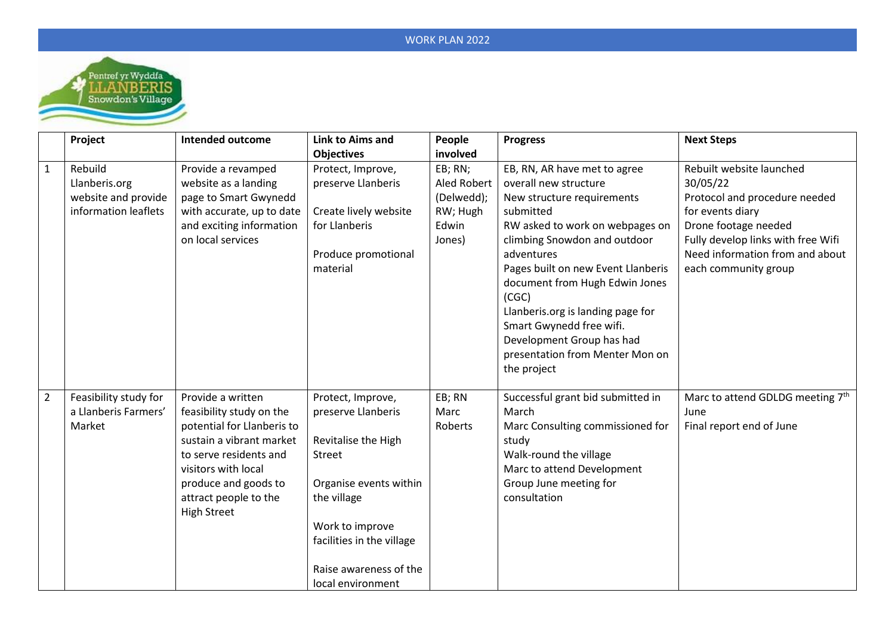## WORK PLAN 2022



|                | Project                                                                 | <b>Intended outcome</b>                                                                                                                                                                                                         | <b>Link to Aims and</b>                                                                                                                                                                                                 | People                                                              | <b>Progress</b>                                                                                                                                                                                                                                                                                                                                                                                                    | <b>Next Steps</b>                                                                                                                                                                                                  |
|----------------|-------------------------------------------------------------------------|---------------------------------------------------------------------------------------------------------------------------------------------------------------------------------------------------------------------------------|-------------------------------------------------------------------------------------------------------------------------------------------------------------------------------------------------------------------------|---------------------------------------------------------------------|--------------------------------------------------------------------------------------------------------------------------------------------------------------------------------------------------------------------------------------------------------------------------------------------------------------------------------------------------------------------------------------------------------------------|--------------------------------------------------------------------------------------------------------------------------------------------------------------------------------------------------------------------|
|                |                                                                         |                                                                                                                                                                                                                                 | <b>Objectives</b>                                                                                                                                                                                                       | involved                                                            |                                                                                                                                                                                                                                                                                                                                                                                                                    |                                                                                                                                                                                                                    |
| $\mathbf{1}$   | Rebuild<br>Llanberis.org<br>website and provide<br>information leaflets | Provide a revamped<br>website as a landing<br>page to Smart Gwynedd<br>with accurate, up to date<br>and exciting information<br>on local services                                                                               | Protect, Improve,<br>preserve Llanberis<br>Create lively website<br>for Llanberis<br>Produce promotional<br>material                                                                                                    | EB; RN;<br>Aled Robert<br>(Delwedd);<br>RW; Hugh<br>Edwin<br>Jones) | EB, RN, AR have met to agree<br>overall new structure<br>New structure requirements<br>submitted<br>RW asked to work on webpages on<br>climbing Snowdon and outdoor<br>adventures<br>Pages built on new Event Llanberis<br>document from Hugh Edwin Jones<br>(CGC)<br>Llanberis.org is landing page for<br>Smart Gwynedd free wifi.<br>Development Group has had<br>presentation from Menter Mon on<br>the project | Rebuilt website launched<br>30/05/22<br>Protocol and procedure needed<br>for events diary<br>Drone footage needed<br>Fully develop links with free Wifi<br>Need information from and about<br>each community group |
| $\overline{2}$ | Feasibility study for<br>a Llanberis Farmers'<br>Market                 | Provide a written<br>feasibility study on the<br>potential for Llanberis to<br>sustain a vibrant market<br>to serve residents and<br>visitors with local<br>produce and goods to<br>attract people to the<br><b>High Street</b> | Protect, Improve,<br>preserve Llanberis<br>Revitalise the High<br><b>Street</b><br>Organise events within<br>the village<br>Work to improve<br>facilities in the village<br>Raise awareness of the<br>local environment | EB; RN<br>Marc<br>Roberts                                           | Successful grant bid submitted in<br>March<br>Marc Consulting commissioned for<br>study<br>Walk-round the village<br>Marc to attend Development<br>Group June meeting for<br>consultation                                                                                                                                                                                                                          | Marc to attend GDLDG meeting 7th<br>June<br>Final report end of June                                                                                                                                               |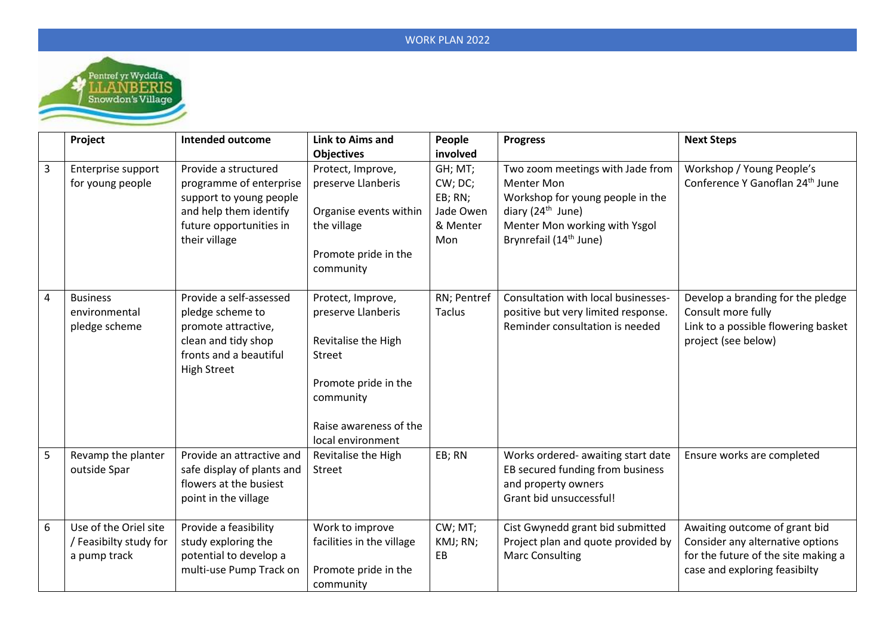## WORK PLAN 2022



|                         | Project                                                         | <b>Intended outcome</b>                                                                                                                          | Link to Aims and                                                                                                                                                    | People                                                        | <b>Progress</b>                                                                                                                                                                         | <b>Next Steps</b>                                                                                                                         |
|-------------------------|-----------------------------------------------------------------|--------------------------------------------------------------------------------------------------------------------------------------------------|---------------------------------------------------------------------------------------------------------------------------------------------------------------------|---------------------------------------------------------------|-----------------------------------------------------------------------------------------------------------------------------------------------------------------------------------------|-------------------------------------------------------------------------------------------------------------------------------------------|
|                         |                                                                 |                                                                                                                                                  | <b>Objectives</b>                                                                                                                                                   | involved                                                      |                                                                                                                                                                                         |                                                                                                                                           |
| $\overline{\mathbf{3}}$ | Enterprise support<br>for young people                          | Provide a structured<br>programme of enterprise<br>support to young people<br>and help them identify<br>future opportunities in<br>their village | Protect, Improve,<br>preserve Llanberis<br>Organise events within<br>the village<br>Promote pride in the<br>community                                               | GH; MT;<br>CW; DC;<br>EB; RN;<br>Jade Owen<br>& Menter<br>Mon | Two zoom meetings with Jade from<br><b>Menter Mon</b><br>Workshop for young people in the<br>diary $(24th$ June)<br>Menter Mon working with Ysgol<br>Brynrefail (14 <sup>th</sup> June) | Workshop / Young People's<br>Conference Y Ganoflan 24 <sup>th</sup> June                                                                  |
| $\overline{4}$          | <b>Business</b><br>environmental<br>pledge scheme               | Provide a self-assessed<br>pledge scheme to<br>promote attractive,<br>clean and tidy shop<br>fronts and a beautiful<br><b>High Street</b>        | Protect, Improve,<br>preserve Llanberis<br>Revitalise the High<br><b>Street</b><br>Promote pride in the<br>community<br>Raise awareness of the<br>local environment | RN; Pentref<br><b>Taclus</b>                                  | Consultation with local businesses-<br>positive but very limited response.<br>Reminder consultation is needed                                                                           | Develop a branding for the pledge<br>Consult more fully<br>Link to a possible flowering basket<br>project (see below)                     |
| 5                       | Revamp the planter<br>outside Spar                              | Provide an attractive and<br>safe display of plants and<br>flowers at the busiest<br>point in the village                                        | Revitalise the High<br>Street                                                                                                                                       | EB; RN                                                        | Works ordered- awaiting start date<br>EB secured funding from business<br>and property owners<br>Grant bid unsuccessful!                                                                | Ensure works are completed                                                                                                                |
| 6                       | Use of the Oriel site<br>/ Feasibilty study for<br>a pump track | Provide a feasibility<br>study exploring the<br>potential to develop a<br>multi-use Pump Track on                                                | Work to improve<br>facilities in the village<br>Promote pride in the<br>community                                                                                   | CW; MT;<br>KMJ; RN;<br>EB                                     | Cist Gwynedd grant bid submitted<br>Project plan and quote provided by<br><b>Marc Consulting</b>                                                                                        | Awaiting outcome of grant bid<br>Consider any alternative options<br>for the future of the site making a<br>case and exploring feasibilty |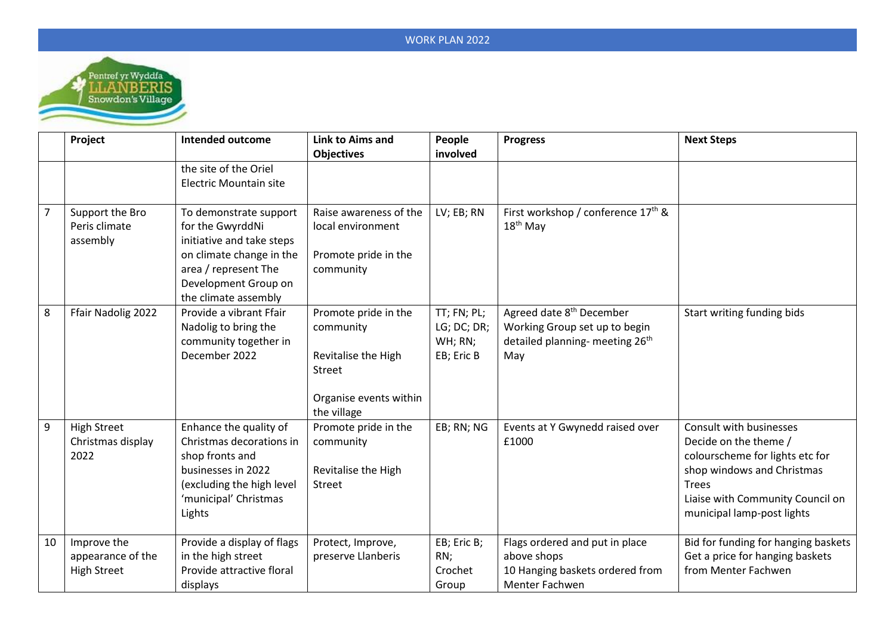

|                | Project                                                | Intended outcome                                                                                                                                                            | Link to Aims and<br><b>Objectives</b>                                                                       | People<br>involved                                  | <b>Progress</b>                                                                                                             | <b>Next Steps</b>                                                                                                                                                                                   |
|----------------|--------------------------------------------------------|-----------------------------------------------------------------------------------------------------------------------------------------------------------------------------|-------------------------------------------------------------------------------------------------------------|-----------------------------------------------------|-----------------------------------------------------------------------------------------------------------------------------|-----------------------------------------------------------------------------------------------------------------------------------------------------------------------------------------------------|
|                |                                                        | the site of the Oriel<br><b>Electric Mountain site</b>                                                                                                                      |                                                                                                             |                                                     |                                                                                                                             |                                                                                                                                                                                                     |
| $\overline{7}$ | Support the Bro<br>Peris climate<br>assembly           | To demonstrate support<br>for the GwyrddNi<br>initiative and take steps<br>on climate change in the<br>area / represent The<br>Development Group on<br>the climate assembly | Raise awareness of the<br>local environment<br>Promote pride in the<br>community                            | LV; EB; RN                                          | First workshop / conference 17 <sup>th</sup> &<br>$18th$ May                                                                |                                                                                                                                                                                                     |
| 8              | Ffair Nadolig 2022                                     | Provide a vibrant Ffair<br>Nadolig to bring the<br>community together in<br>December 2022                                                                                   | Promote pride in the<br>community<br>Revitalise the High<br>Street<br>Organise events within<br>the village | TT; FN; PL;<br>LG; DC; DR;<br>WH; RN;<br>EB; Eric B | Agreed date 8 <sup>th</sup> December<br>Working Group set up to begin<br>detailed planning- meeting 26 <sup>th</sup><br>May | Start writing funding bids                                                                                                                                                                          |
| 9              | <b>High Street</b><br>Christmas display<br>2022        | Enhance the quality of<br>Christmas decorations in<br>shop fronts and<br>businesses in 2022<br>(excluding the high level<br>'municipal' Christmas<br>Lights                 | Promote pride in the<br>community<br>Revitalise the High<br><b>Street</b>                                   | EB; RN; NG                                          | Events at Y Gwynedd raised over<br>£1000                                                                                    | Consult with businesses<br>Decide on the theme /<br>colourscheme for lights etc for<br>shop windows and Christmas<br><b>Trees</b><br>Liaise with Community Council on<br>municipal lamp-post lights |
| 10             | Improve the<br>appearance of the<br><b>High Street</b> | Provide a display of flags<br>in the high street<br>Provide attractive floral<br>displays                                                                                   | Protect, Improve,<br>preserve Llanberis                                                                     | EB; Eric B;<br>RN;<br>Crochet<br>Group              | Flags ordered and put in place<br>above shops<br>10 Hanging baskets ordered from<br>Menter Fachwen                          | Bid for funding for hanging baskets<br>Get a price for hanging baskets<br>from Menter Fachwen                                                                                                       |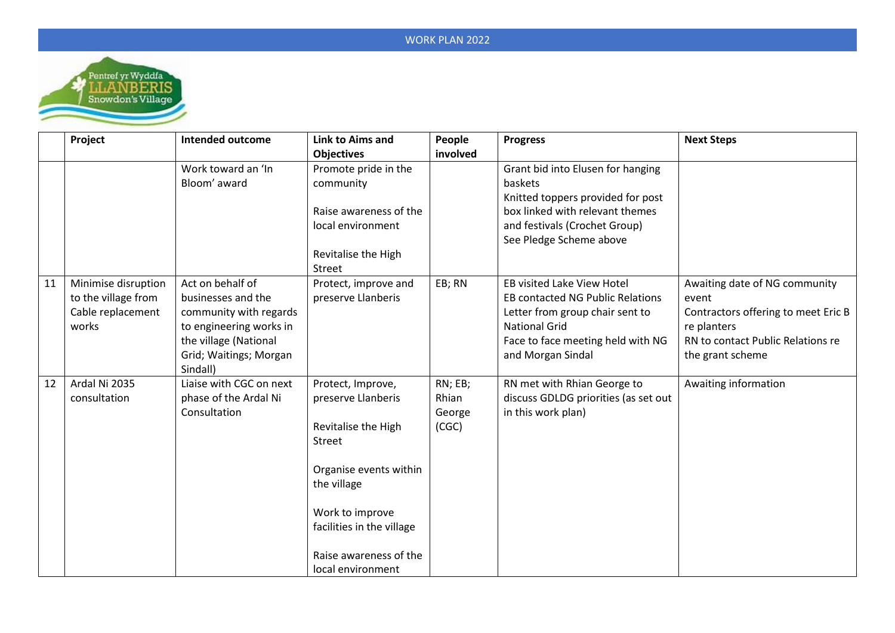

|    | Project             | Intended outcome        | Link to Aims and          | People   | <b>Progress</b>                         | <b>Next Steps</b>                   |
|----|---------------------|-------------------------|---------------------------|----------|-----------------------------------------|-------------------------------------|
|    |                     |                         | <b>Objectives</b>         | involved |                                         |                                     |
|    |                     | Work toward an 'In      | Promote pride in the      |          | Grant bid into Elusen for hanging       |                                     |
|    |                     | Bloom' award            | community                 |          | baskets                                 |                                     |
|    |                     |                         |                           |          | Knitted toppers provided for post       |                                     |
|    |                     |                         | Raise awareness of the    |          | box linked with relevant themes         |                                     |
|    |                     |                         | local environment         |          | and festivals (Crochet Group)           |                                     |
|    |                     |                         |                           |          | See Pledge Scheme above                 |                                     |
|    |                     |                         | Revitalise the High       |          |                                         |                                     |
|    |                     |                         | Street                    |          |                                         |                                     |
| 11 | Minimise disruption | Act on behalf of        | Protect, improve and      | EB; RN   | <b>EB visited Lake View Hotel</b>       | Awaiting date of NG community       |
|    | to the village from | businesses and the      | preserve Llanberis        |          | <b>EB contacted NG Public Relations</b> | event                               |
|    | Cable replacement   | community with regards  |                           |          | Letter from group chair sent to         | Contractors offering to meet Eric B |
|    | works               | to engineering works in |                           |          | <b>National Grid</b>                    | re planters                         |
|    |                     | the village (National   |                           |          | Face to face meeting held with NG       | RN to contact Public Relations re   |
|    |                     | Grid; Waitings; Morgan  |                           |          | and Morgan Sindal                       | the grant scheme                    |
|    |                     | Sindall)                |                           |          |                                         |                                     |
| 12 | Ardal Ni 2035       | Liaise with CGC on next | Protect, Improve,         | RN; EB;  | RN met with Rhian George to             | Awaiting information                |
|    | consultation        | phase of the Ardal Ni   | preserve Llanberis        | Rhian    | discuss GDLDG priorities (as set out    |                                     |
|    |                     | Consultation            |                           | George   | in this work plan)                      |                                     |
|    |                     |                         | Revitalise the High       | (CGC)    |                                         |                                     |
|    |                     |                         | Street                    |          |                                         |                                     |
|    |                     |                         |                           |          |                                         |                                     |
|    |                     |                         | Organise events within    |          |                                         |                                     |
|    |                     |                         | the village               |          |                                         |                                     |
|    |                     |                         |                           |          |                                         |                                     |
|    |                     |                         | Work to improve           |          |                                         |                                     |
|    |                     |                         | facilities in the village |          |                                         |                                     |
|    |                     |                         |                           |          |                                         |                                     |
|    |                     |                         | Raise awareness of the    |          |                                         |                                     |
|    |                     |                         | local environment         |          |                                         |                                     |